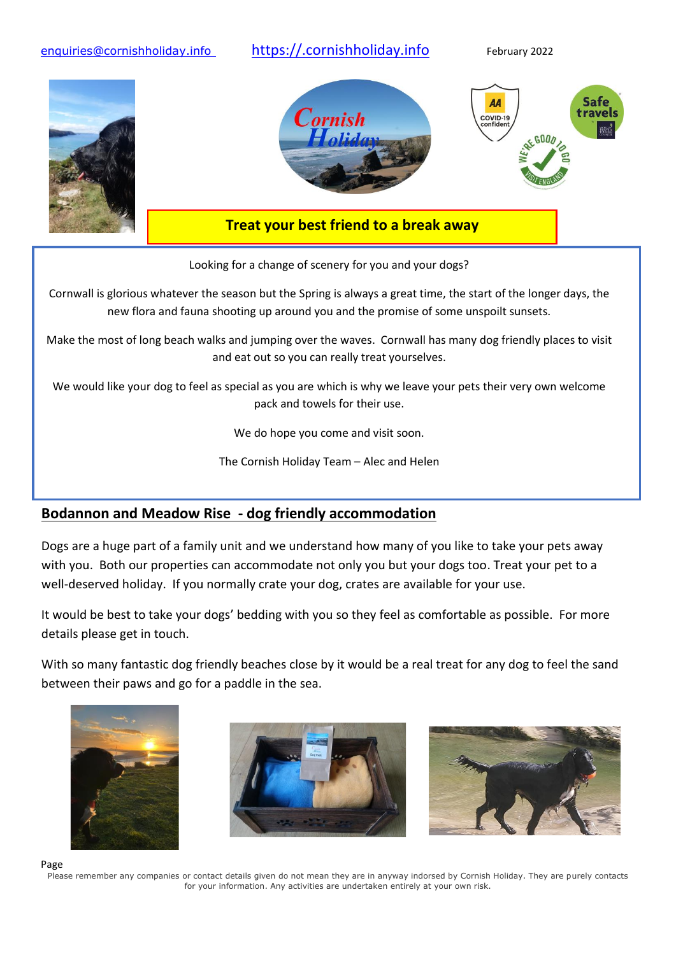

Looking for a change of scenery for you and your dogs?

Cornwall is glorious whatever the season but the Spring is always a great time, the start of the longer days, the new flora and fauna shooting up around you and the promise of some unspoilt sunsets.

Make the most of long beach walks and jumping over the waves. Cornwall has many dog friendly places to visit and eat out so you can really treat yourselves.

We would like your dog to feel as special as you are which is why we leave your pets their very own welcome pack and towels for their use.

We do hope you come and visit soon.

The Cornish Holiday Team – Alec and Helen

# **Bodannon and Meadow Rise - dog friendly accommodation**

Dogs are a huge part of a family unit and we understand how many of you like to take your pets away with you. Both our properties can accommodate not only you but your dogs too. Treat your pet to a well-deserved holiday. If you normally crate your dog, crates are available for your use.

It would be best to take your dogs' bedding with you so they feel as comfortable as possible. For more details please get in touch.

With so many fantastic dog friendly beaches close by it would be a real treat for any dog to feel the sand between their paws and go for a paddle in the sea.







Page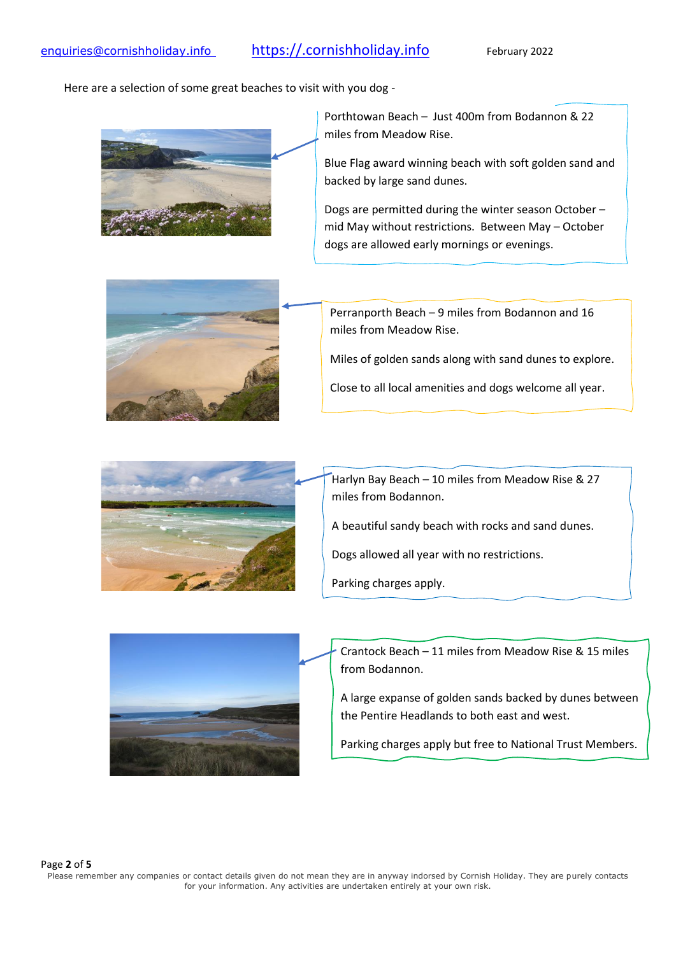### [enquiries@cornishholiday.info](mailto:enquiries@cornishholiday.info) [https://.cornishholiday.info](https://.cornishholiday.info/) February 2022

Here are a selection of some great beaches to visit with you dog -



Porthtowan Beach – Just 400m from Bodannon & 22 miles from Meadow Rise.

Blue Flag award winning beach with soft golden sand and backed by large sand dunes.

Dogs are permitted during the winter season October – mid May without restrictions. Between May – October dogs are allowed early mornings or evenings.



Perranporth Beach – 9 miles from Bodannon and 16 miles from Meadow Rise.

Miles of golden sands along with sand dunes to explore.

Close to all local amenities and dogs welcome all year.



Harlyn Bay Beach – 10 miles from Meadow Rise & 27 miles from Bodannon.

A beautiful sandy beach with rocks and sand dunes.

Dogs allowed all year with no restrictions.

Parking charges apply.



Crantock Beach – 11 miles from Meadow Rise & 15 miles from Bodannon.

A large expanse of golden sands backed by dunes between the Pentire Headlands to both east and west.

Parking charges apply but free to National Trust Members.

#### Page **2** of **5**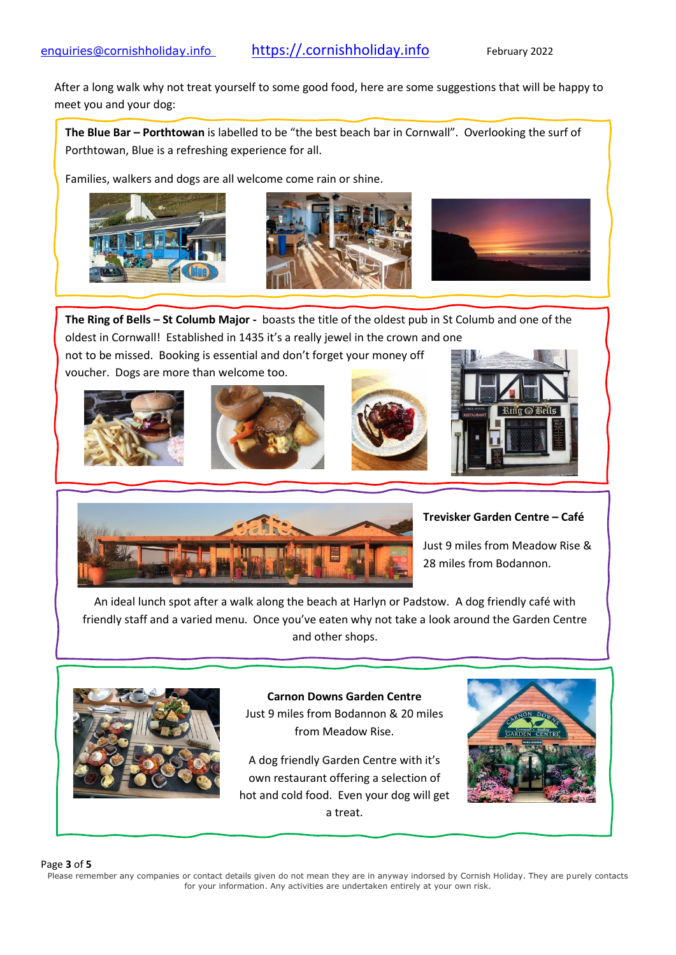After a long walk why not treat yourself to some good food, here are some suggestions that will be happy to meet you and your dog:

**The Blue Bar – Porthtowan** is labelled to be "the best beach bar in Cornwall". Overlooking the surf of Porthtowan, Blue is a refreshing experience for all.

Families, walkers and dogs are all welcome come rain or shine.







**The Ring of Bells – St Columb Major -** boasts the title of the oldest pub in St Columb and one of the oldest in Cornwall! Established in 1435 it's a really jewel in the crown and one not to be missed. Booking is essential and don't forget your money off

voucher. Dogs are more than welcome too.











#### **Trevisker Garden Centre – Café**

Just 9 miles from Meadow Rise & 28 miles from Bodannon.

An ideal lunch spot after a walk along the beach at Harlyn or Padstow. A dog friendly café with friendly staff and a varied menu. Once you've eaten why not take a look around the Garden Centre and other shops.



**Carnon Downs Garden Centre** Just 9 miles from Bodannon & 20 miles from Meadow Rise.

A dog friendly Garden Centre with it's own restaurant offering a selection of hot and cold food. Even your dog will get a treat.



#### Page **3** of **5**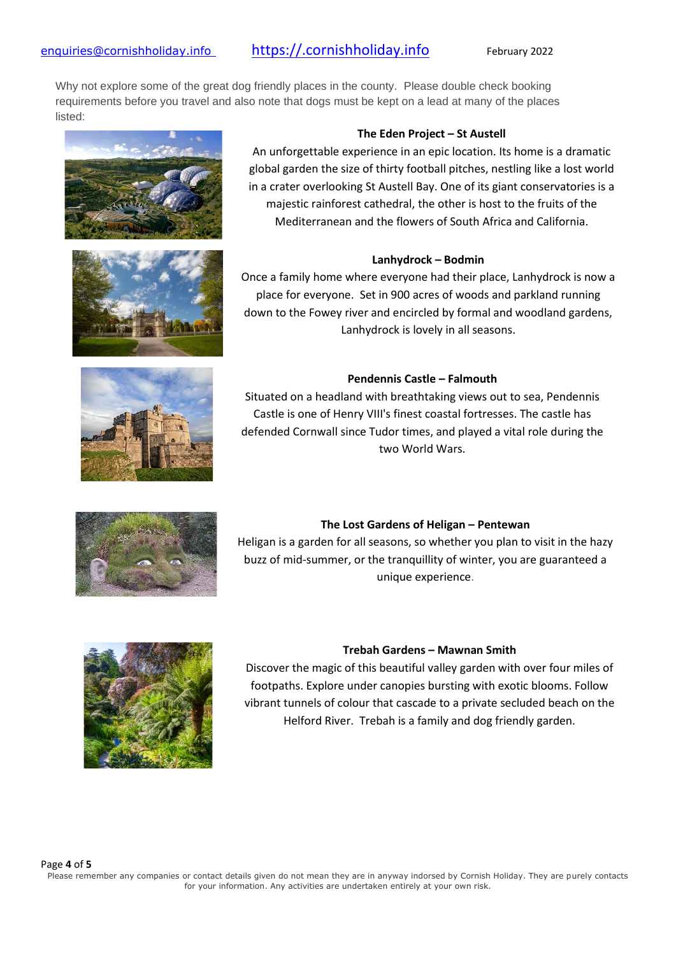# [enquiries@cornishholiday.info](mailto:enquiries@cornishholiday.info) [https://.cornishholiday.info](https://.cornishholiday.info/) February 2022

Why not explore some of the great dog friendly places in the county. Please double check booking requirements before you travel and also note that dogs must be kept on a lead at many of the places listed:







#### **The Eden Project – St Austell**

An unforgettable experience in an epic location. Its home is a dramatic global garden the size of thirty football pitches, nestling like a lost world in a crater overlooking St Austell Bay. One of its giant conservatories is a majestic rainforest cathedral, the other is host to the fruits of the Mediterranean and the flowers of South Africa and California.

#### **Lanhydrock – Bodmin**

Once a family home where everyone had their place, Lanhydrock is now a place for everyone. Set in 900 acres of woods and parkland running down to the Fowey river and encircled by formal and woodland gardens, Lanhydrock is lovely in all seasons.

#### **Pendennis Castle – Falmouth**

Situated on a headland with breathtaking views out to sea, Pendennis Castle is one of Henry VIII's finest coastal fortresses. The castle has defended Cornwall since Tudor times, and played a vital role during the two World Wars.

# **The Lost Gardens of Heligan – Pentewan**

Heligan is a garden for all seasons, so whether you plan to visit in the hazy buzz of mid-summer, or the tranquillity of winter, you are guaranteed a unique experience.



#### **Trebah Gardens – Mawnan Smith**

Discover the magic of this beautiful valley garden with over four miles of footpaths. Explore under canopies bursting with exotic blooms. Follow vibrant tunnels of colour that cascade to a private secluded beach on the Helford River. Trebah is a family and dog friendly garden.